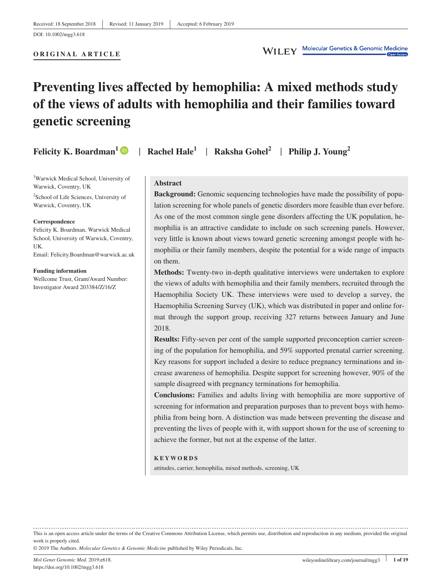# **ORIGINAL ARTICLE**

# **Preventing lives affected by hemophilia: A mixed methods study of the views of adults with hemophilia and their families toward genetic screening**

**Felicity K. Boardman**<sup>[1](https://orcid.org/0000-0002-3268-6276)</sup>  $\bullet$  | Rachel Hale<sup>1</sup> | Raksha Gohel<sup>2</sup> | Philip J. Young<sup>2</sup>

<sup>1</sup>Warwick Medical School, University of Warwick, Coventry, UK 2 School of Life Sciences, University of Warwick, Coventry, UK

#### **Correspondence**

Felicity K. Boardman, Warwick Medical School, University of Warwick, Coventry, UK. Email: [Felicity.Boardman@warwick.ac.uk](mailto:Felicity.Boardman@warwick.ac.uk)

**Funding information** Wellcome Trust, Grant/Award Number: Investigator Award 203384/Z/16/Z

#### **Abstract**

**Background:** Genomic sequencing technologies have made the possibility of population screening for whole panels of genetic disorders more feasible than ever before. As one of the most common single gene disorders affecting the UK population, hemophilia is an attractive candidate to include on such screening panels. However, very little is known about views toward genetic screening amongst people with hemophilia or their family members, despite the potential for a wide range of impacts on them.

**Methods:** Twenty‐two in‐depth qualitative interviews were undertaken to explore the views of adults with hemophilia and their family members, recruited through the Haemophilia Society UK. These interviews were used to develop a survey, the Haemophilia Screening Survey (UK), which was distributed in paper and online format through the support group, receiving 327 returns between January and June 2018.

**Results:** Fifty‐seven per cent of the sample supported preconception carrier screening of the population for hemophilia, and 59% supported prenatal carrier screening. Key reasons for support included a desire to reduce pregnancy terminations and increase awareness of hemophilia. Despite support for screening however, 90% of the sample disagreed with pregnancy terminations for hemophilia.

**Conclusions:** Families and adults living with hemophilia are more supportive of screening for information and preparation purposes than to prevent boys with hemophilia from being born. A distinction was made between preventing the disease and preventing the lives of people with it, with support shown for the use of screening to achieve the former, but not at the expense of the latter.

#### **KEYWORDS**

attitudes, carrier, hemophilia, mixed methods, screening, UK

This is an open access article under the terms of the [Creative Commons Attribution](http://creativecommons.org/licenses/by/4.0/) License, which permits use, distribution and reproduction in any medium, provided the original work is properly cited.

© 2019 The Authors. *Molecular Genetics & Genomic Medicine* published by Wiley Periodicals, Inc.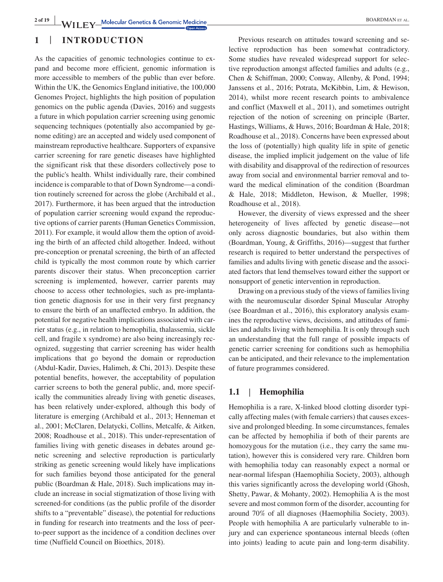# **1** | **INTRODUCTION**

As the capacities of genomic technologies continue to expand and become more efficient, genomic information is more accessible to members of the public than ever before. Within the UK, the Genomics England initiative, the 100,000 Genomes Project, highlights the high position of population genomics on the public agenda (Davies, 2016) and suggests a future in which population carrier screening using genomic sequencing techniques (potentially also accompanied by genome editing) are an accepted and widely used component of mainstream reproductive healthcare. Supporters of expansive carrier screening for rare genetic diseases have highlighted the significant risk that these disorders collectively pose to the public's health. Whilst individually rare, their combined incidence is comparable to that of Down Syndrome—a condition routinely screened for across the globe (Archibald et al., 2017). Furthermore, it has been argued that the introduction of population carrier screening would expand the reproductive options of carrier parents (Human Genetics Commission, 2011). For example, it would allow them the option of avoiding the birth of an affected child altogether. Indeed, without pre‐conception or prenatal screening, the birth of an affected child is typically the most common route by which carrier parents discover their status. When preconception carrier screening is implemented, however, carrier parents may choose to access other technologies, such as pre‐implantation genetic diagnosis for use in their very first pregnancy to ensure the birth of an unaffected embryo. In addition, the potential for negative health implications associated with carrier status (e.g., in relation to hemophilia, thalassemia, sickle cell, and fragile x syndrome) are also being increasingly recognized, suggesting that carrier screening has wider health implications that go beyond the domain or reproduction (Abdul‐Kadir, Davies, Halimeh, & Chi, 2013). Despite these potential benefits, however, the acceptability of population carrier screens to both the general public, and, more specifically the communities already living with genetic diseases, has been relatively under-explored, although this body of literature is emerging (Archibald et al., 2013; Henneman et al., 2001; McClaren, Delatycki, Collins, Metcalfe, & Aitken, 2008; Roadhouse et al., 2018). This under‐representation of families living with genetic diseases in debates around genetic screening and selective reproduction is particularly striking as genetic screening would likely have implications for such families beyond those anticipated for the general public (Boardman & Hale, 2018). Such implications may include an increase in social stigmatization of those living with screened-for conditions (as the public profile of the disorder shifts to a "preventable" disease), the potential for reductions in funding for research into treatments and the loss of peerto‐peer support as the incidence of a condition declines over time (Nuffield Council on Bioethics, 2018).

Previous research on attitudes toward screening and selective reproduction has been somewhat contradictory. Some studies have revealed widespread support for selective reproduction amongst affected families and adults (e.g., Chen & Schiffman, 2000; Conway, Allenby, & Pond, 1994; Janssens et al., 2016; Potrata, McKibbin, Lim, & Hewison, 2014), whilst more recent research points to ambivalence and conflict (Maxwell et al., 2011), and sometimes outright rejection of the notion of screening on principle (Barter, Hastings, Williams, & Huws, 2016; Boardman & Hale, 2018; Roadhouse et al., 2018). Concerns have been expressed about the loss of (potentially) high quality life in spite of genetic disease, the implied implicit judgement on the value of life with disability and disapproval of the redirection of resources away from social and environmental barrier removal and toward the medical elimination of the condition (Boardman & Hale, 2018; Middleton, Hewison, & Mueller, 1998; Roadhouse et al., 2018).

However, the diversity of views expressed and the sheer heterogeneity of lives affected by genetic disease—not only across diagnostic boundaries, but also within them (Boardman, Young, & Griffiths, 2016)—suggest that further research is required to better understand the perspectives of families and adults living with genetic disease and the associated factors that lend themselves toward either the support or nonsupport of genetic intervention in reproduction.

Drawing on a previous study of the views of families living with the neuromuscular disorder Spinal Muscular Atrophy (see Boardman et al., 2016), this exploratory analysis examines the reproductive views, decisions, and attitudes of families and adults living with hemophilia. It is only through such an understanding that the full range of possible impacts of genetic carrier screening for conditions such as hemophilia can be anticipated, and their relevance to the implementation of future programmes considered.

## **1.1** | **Hemophilia**

Hemophilia is a rare, X-linked blood clotting disorder typically affecting males (with female carriers) that causes excessive and prolonged bleeding. In some circumstances, females can be affected by hemophilia if both of their parents are homozygous for the mutation (i.e., they carry the same mutation), however this is considered very rare. Children born with hemophilia today can reasonably expect a normal or near‐normal lifespan (Haemophilia Society, 2003), although this varies significantly across the developing world (Ghosh, Shetty, Pawar, & Mohanty, 2002). Hemophilia A is the most severe and most common form of the disorder, accounting for around 70% of all diagnoses (Haemophilia Society, 2003). People with hemophilia A are particularly vulnerable to injury and can experience spontaneous internal bleeds (often into joints) leading to acute pain and long‐term disability.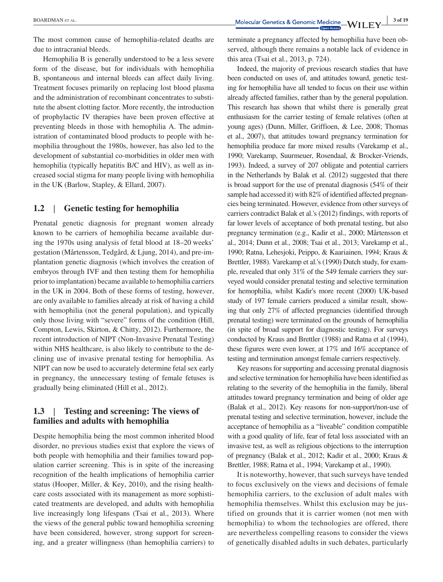The most common cause of hemophilia-related deaths are due to intracranial bleeds.

Hemophilia B is generally understood to be a less severe form of the disease, but for individuals with hemophilia B, spontaneous and internal bleeds can affect daily living. Treatment focuses primarily on replacing lost blood plasma and the administration of recombinant concentrates to substitute the absent clotting factor. More recently, the introduction of prophylactic IV therapies have been proven effective at preventing bleeds in those with hemophilia A. The administration of contaminated blood products to people with hemophilia throughout the 1980s, however, has also led to the development of substantial co‐morbidities in older men with hemophilia (typically hepatitis B/C and HIV), as well as increased social stigma for many people living with hemophilia in the UK (Barlow, Stapley, & Ellard, 2007).

# **1.2** | **Genetic testing for hemophilia**

Prenatal genetic diagnosis for pregnant women already known to be carriers of hemophilia became available during the 1970s using analysis of fetal blood at 18–20 weeks' gestation (Mårtensson, Tedgård, & Ljung, 2014), and pre‐implantation genetic diagnosis (which involves the creation of embryos through IVF and then testing them for hemophilia prior to implantation) became available to hemophilia carriers in the UK in 2004. Both of these forms of testing, however, are only available to families already at risk of having a child with hemophilia (not the general population), and typically only those living with "severe" forms of the condition (Hill, Compton, Lewis, Skirton, & Chitty, 2012). Furthermore, the recent introduction of NIPT (Non‐Invasive Prenatal Testing) within NHS healthcare, is also likely to contribute to the declining use of invasive prenatal testing for hemophilia. As NIPT can now be used to accurately determine fetal sex early in pregnancy, the unnecessary testing of female fetuses is gradually being eliminated (Hill et al., 2012).

# **1.3** | **Testing and screening: The views of families and adults with hemophilia**

Despite hemophilia being the most common inherited blood disorder, no previous studies exist that explore the views of both people with hemophilia and their families toward population carrier screening. This is in spite of the increasing recognition of the health implications of hemophilia carrier status (Hooper, Miller, & Key, 2010), and the rising healthcare costs associated with its management as more sophisticated treatments are developed, and adults with hemophilia live increasingly long lifespans (Tsai et al., 2013). Where the views of the general public toward hemophilia screening have been considered, however, strong support for screening, and a greater willingness (than hemophilia carriers) to

terminate a pregnancy affected by hemophilia have been observed, although there remains a notable lack of evidence in this area (Tsai et al., 2013, p. 724).

Indeed, the majority of previous research studies that have been conducted on uses of, and attitudes toward, genetic testing for hemophilia have all tended to focus on their use within already affected families, rather than by the general population. This research has shown that whilst there is generally great enthusiasm for the carrier testing of female relatives (often at young ages) (Dunn, Miller, Griffioen, & Lee, 2008; Thomas et al., 2007), that attitudes toward pregnancy termination for hemophilia produce far more mixed results (Varekamp et al., 1990; Varekamp, Suurmeuer, Rosendaal, & Brocker‐Vriends, 1993). Indeed, a survey of 207 obligate and potential carriers in the Netherlands by Balak et al. (2012) suggested that there is broad support for the use of prenatal diagnosis (54% of their sample had accessed it) with 82% of identified affected pregnancies being terminated. However, evidence from other surveys of carriers contradict Balak et al.'s (2012) findings, with reports of far lower levels of acceptance of both prenatal testing, but also pregnancy termination (e.g., Kadir et al., 2000; Mårtensson et al., 2014; Dunn et al., 2008; Tsai et al., 2013; Varekamp et al., 1990; Ratna, Lehesjoki, Peippo, & Kaariainen, 1994; Kraus & Brettler, 1988). Varekamp et al.'s (1990) Dutch study, for example, revealed that only 31% of the 549 female carriers they surveyed would consider prenatal testing and selective termination for hemophilia, whilst Kadir's more recent (2000) UK‐based study of 197 female carriers produced a similar result, showing that only 27% of affected pregnancies (identified through prenatal testing) were terminated on the grounds of hemophilia (in spite of broad support for diagnostic testing). For surveys conducted by Kraus and Brettler (1988) and Ratna et al (1994), these figures were even lower, at 17% and 16% acceptance of testing and termination amongst female carriers respectively.

Key reasons for supporting and accessing prenatal diagnosis and selective termination for hemophilia have been identified as relating to the severity of the hemophilia in the family, liberal attitudes toward pregnancy termination and being of older age (Balak et al., 2012). Key reasons for non‐support/non‐use of prenatal testing and selective termination, however, include the acceptance of hemophilia as a "liveable" condition compatible with a good quality of life, fear of fetal loss associated with an invasive test, as well as religious objections to the interruption of pregnancy (Balak et al., 2012; Kadir et al., 2000; Kraus & Brettler, 1988; Ratna et al., 1994; Varekamp et al., 1990).

It is noteworthy, however, that such surveys have tended to focus exclusively on the views and decisions of female hemophilia carriers, to the exclusion of adult males with hemophilia themselves. Whilst this exclusion may be justified on grounds that it is carrier women (not men with hemophilia) to whom the technologies are offered, there are nevertheless compelling reasons to consider the views of genetically disabled adults in such debates, particularly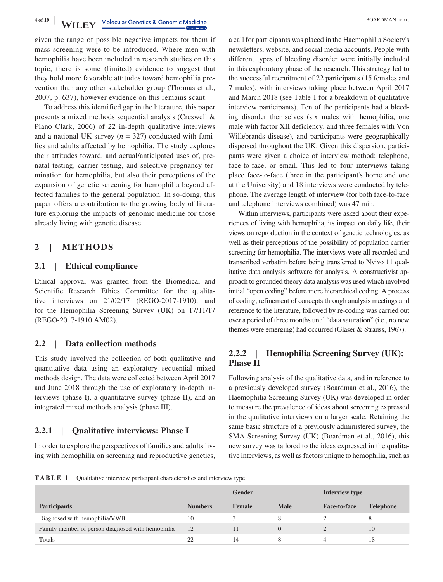given the range of possible negative impacts for them if mass screening were to be introduced. Where men with hemophilia have been included in research studies on this topic, there is some (limited) evidence to suggest that they hold more favorable attitudes toward hemophilia prevention than any other stakeholder group (Thomas et al., 2007, p. 637), however evidence on this remains scant.

To address this identified gap in the literature, this paper presents a mixed methods sequential analysis (Creswell & Plano Clark, 2006) of 22 in‐depth qualitative interviews and a national UK survey  $(n = 327)$  conducted with families and adults affected by hemophilia. The study explores their attitudes toward, and actual/anticipated uses of, prenatal testing, carrier testing, and selective pregnancy termination for hemophilia, but also their perceptions of the expansion of genetic screening for hemophilia beyond affected families to the general population. In so‐doing, this paper offers a contribution to the growing body of literature exploring the impacts of genomic medicine for those already living with genetic disease.

# **2** | **METHODS**

# **2.1** | **Ethical compliance**

Ethical approval was granted from the Biomedical and Scientific Research Ethics Committee for the qualitative interviews on 21/02/17 (REGO‐2017‐1910), and for the Hemophilia Screening Survey (UK) on 17/11/17 (REGO‐2017‐1910 AM02).

### **2.2** | **Data collection methods**

This study involved the collection of both qualitative and quantitative data using an exploratory sequential mixed methods design. The data were collected between April 2017 and June 2018 through the use of exploratory in‐depth interviews (phase I), a quantitative survey (phase II), and an integrated mixed methods analysis (phase III).

### **2.2.1** | **Qualitative interviews: Phase I**

In order to explore the perspectives of families and adults living with hemophilia on screening and reproductive genetics,

a call for participants was placed in the Haemophilia Society's newsletters, website, and social media accounts. People with different types of bleeding disorder were initially included in this exploratory phase of the research. This strategy led to the successful recruitment of 22 participants (15 females and 7 males), with interviews taking place between April 2017 and March 2018 (see Table 1 for a breakdown of qualitative interview participants). Ten of the participants had a bleeding disorder themselves (six males with hemophilia, one male with factor XII deficiency, and three females with Von Willebrands disease), and participants were geographically dispersed throughout the UK. Given this dispersion, participants were given a choice of interview method: telephone, face-to-face, or email. This led to four interviews taking place face‐to‐face (three in the participant's home and one at the University) and 18 interviews were conducted by telephone. The average length of interview (for both face‐to‐face and telephone interviews combined) was 47 min.

Within interviews, participants were asked about their experiences of living with hemophilia, its impact on daily life, their views on reproduction in the context of genetic technologies, as well as their perceptions of the possibility of population carrier screening for hemophilia. The interviews were all recorded and transcribed verbatim before being transferred to Nvivo 11 qualitative data analysis software for analysis. A constructivist approach to grounded theory data analysis was used which involved initial "open coding" before more hierarchical coding. A process of coding, refinement of concepts through analysis meetings and reference to the literature, followed by re‐coding was carried out over a period of three months until "data saturation" (i.e., no new themes were emerging) had occurred (Glaser & Strauss, 1967).

# **2.2.2** | **Hemophilia Screening Survey (UK): Phase II**

Following analysis of the qualitative data, and in reference to a previously developed survey (Boardman et al., 2016), the Haemophilia Screening Survey (UK) was developed in order to measure the prevalence of ideas about screening expressed in the qualitative interviews on a larger scale. Retaining the same basic structure of a previously administered survey, the SMA Screening Survey (UK) (Boardman et al., 2016), this new survey was tailored to the ideas expressed in the qualitative interviews, as well as factors unique to hemophilia, such as

**TABLE 1** Qualitative interview participant characteristics and interview type

|                                                   |                | <b>Gender</b> |             | Interview type      |                  |
|---------------------------------------------------|----------------|---------------|-------------|---------------------|------------------|
| <b>Participants</b>                               | <b>Numbers</b> | <b>Female</b> | <b>Male</b> | <b>Face-to-face</b> | <b>Telephone</b> |
| Diagnosed with hemophilia/VWB                     | 10             |               |             |                     |                  |
| Family member of person diagnosed with hemophilia | 12             | 11            |             |                     | 10               |
| Totals                                            | つつ             | 14            |             |                     | 18               |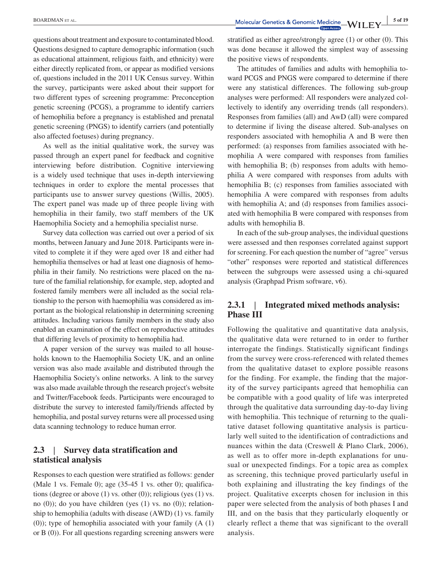**BOARDMAN ET AL. 5 of 19**<br> **Molecular Genetics & Genomic Medicine** WII FV 5 of 19

questions about treatment and exposure to contaminated blood. Questions designed to capture demographic information (such as educational attainment, religious faith, and ethnicity) were either directly replicated from, or appear as modified versions of, questions included in the 2011 UK Census survey. Within the survey, participants were asked about their support for two different types of screening programme: Preconception genetic screening (PCGS), a programme to identify carriers of hemophilia before a pregnancy is established and prenatal genetic screening (PNGS) to identify carriers (and potentially also affected foetuses) during pregnancy.

As well as the initial qualitative work, the survey was passed through an expert panel for feedback and cognitive interviewing before distribution. Cognitive interviewing is a widely used technique that uses in‐depth interviewing techniques in order to explore the mental processes that participants use to answer survey questions (Willis, 2005). The expert panel was made up of three people living with hemophilia in their family, two staff members of the UK Haemophilia Society and a hemophilia specialist nurse.

Survey data collection was carried out over a period of six months, between January and June 2018. Participants were invited to complete it if they were aged over 18 and either had hemophilia themselves or had at least one diagnosis of hemophilia in their family. No restrictions were placed on the nature of the familial relationship, for example, step, adopted and fostered family members were all included as the social relationship to the person with haemophilia was considered as important as the biological relationship in determining screening attitudes. Including various family members in the study also enabled an examination of the effect on reproductive attitudes that differing levels of proximity to hemophilia had.

A paper version of the survey was mailed to all households known to the Haemophilia Society UK, and an online version was also made available and distributed through the Haemophilia Society's online networks. A link to the survey was also made available through the research project's website and Twitter/Facebook feeds. Participants were encouraged to distribute the survey to interested family/friends affected by hemophilia, and postal survey returns were all processed using data scanning technology to reduce human error.

# **2.3** | **Survey data stratification and statistical analysis**

Responses to each question were stratified as follows: gender (Male 1 vs. Female 0); age  $(35-45 \text{ 1} \text{ vs. other 0})$ ; qualifications (degree or above  $(1)$  vs. other  $(0)$ ); religious (yes  $(1)$  vs. no (0)); do you have children (yes (1) vs. no (0)); relationship to hemophilia (adults with disease (AWD) (1) vs. family  $(0)$ ); type of hemophilia associated with your family  $(A(1))$ or B (0)). For all questions regarding screening answers were

stratified as either agree/strongly agree (1) or other (0). This was done because it allowed the simplest way of assessing the positive views of respondents.

The attitudes of families and adults with hemophilia toward PCGS and PNGS were compared to determine if there were any statistical differences. The following sub‐group analyses were performed: All responders were analyzed collectively to identify any overriding trends (all responders). Responses from families (all) and AwD (all) were compared to determine if living the disease altered. Sub‐analyses on responders associated with hemophilia A and B were then performed: (a) responses from families associated with hemophilia A were compared with responses from families with hemophilia B; (b) responses from adults with hemophilia A were compared with responses from adults with hemophilia B; (c) responses from families associated with hemophilia A were compared with responses from adults with hemophilia A; and (d) responses from families associated with hemophilia B were compared with responses from adults with hemophilia B.

In each of the sub‐group analyses, the individual questions were assessed and then responses correlated against support for screening. For each question the number of "agree" versus "other" responses were reported and statistical differences between the subgroups were assessed using a chi‐squared analysis (Graphpad Prism software, v6).

# **2.3.1** | **Integrated mixed methods analysis: Phase III**

Following the qualitative and quantitative data analysis, the qualitative data were returned to in order to further interrogate the findings. Statistically significant findings from the survey were cross‐referenced with related themes from the qualitative dataset to explore possible reasons for the finding. For example, the finding that the majority of the survey participants agreed that hemophilia can be compatible with a good quality of life was interpreted through the qualitative data surrounding day‐to‐day living with hemophilia. This technique of returning to the qualitative dataset following quantitative analysis is particularly well suited to the identification of contradictions and nuances within the data (Creswell & Plano Clark, 2006), as well as to offer more in‐depth explanations for unusual or unexpected findings. For a topic area as complex as screening, this technique proved particularly useful in both explaining and illustrating the key findings of the project. Qualitative excerpts chosen for inclusion in this paper were selected from the analysis of both phases I and III, and on the basis that they particularly eloquently or clearly reflect a theme that was significant to the overall analysis.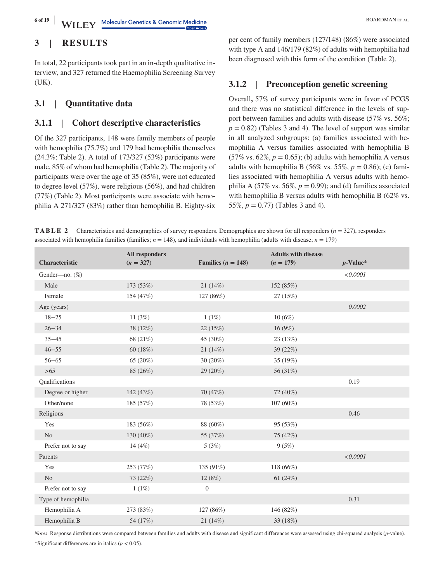# **3** | **RESULTS**

In total, 22 participants took part in an in‐depth qualitative interview, and 327 returned the Haemophilia Screening Survey (UK).

# **3.1** | **Quantitative data**

# **3.1.1** | **Cohort descriptive characteristics**

Of the 327 participants, 148 were family members of people with hemophilia (75.7%) and 179 had hemophilia themselves (24.3%; Table 2). A total of 173/327 (53%) participants were male, 85% of whom had hemophilia (Table 2). The majority of participants were over the age of 35 (85%), were not educated to degree level (57%), were religious (56%), and had children (77%) (Table 2). Most participants were associate with hemophilia A 271/327 (83%) rather than hemophilia B. Eighty‐six per cent of family members (127/148) (86%) were associated with type A and 146/179 (82%) of adults with hemophilia had been diagnosed with this form of the condition (Table 2).

# **3.1.2** | **Preconception genetic screening**

Overall**,** 57% of survey participants were in favor of PCGS and there was no statistical difference in the levels of support between families and adults with disease (57% vs. 56%;  $p = 0.82$ ) (Tables 3 and 4). The level of support was similar in all analyzed subgroups: (a) families associated with hemophilia A versus families associated with hemophilia B  $(57\% \text{ vs. } 62\%, p = 0.65)$ ; (b) adults with hemophilia A versus adults with hemophilia B (56% vs. 55%,  $p = 0.86$ ); (c) families associated with hemophilia A versus adults with hemophilia A (57% vs. 56%,  $p = 0.99$ ); and (d) families associated with hemophilia B versus adults with hemophilia B (62% vs. 55%,  $p = 0.77$ ) (Tables 3 and 4).

**TABLE 2** Characteristics and demographics of survey responders. Demographics are shown for all responders (*n* = 327), responders associated with hemophilia families (families;  $n = 148$ ), and individuals with hemophilia (adults with disease;  $n = 179$ )

| Characteristic     | <b>All responders</b><br>$(n = 327)$ | Families ( $n = 148$ ) | <b>Adults with disease</b><br>$(n = 179)$ | $p$ -Value* |
|--------------------|--------------------------------------|------------------------|-------------------------------------------|-------------|
| Gender—no. $(\%)$  |                                      |                        |                                           | < 0.0001    |
| Male               | 173 (53%)                            | 21(14%)                | 152 (85%)                                 |             |
| Female             | 154 (47%)                            | 127 (86%)              | 27(15%)                                   |             |
| Age (years)        |                                      |                        |                                           | 0.0002      |
| $18 - 25$          | 11 $(3%)$                            | 1(1%)                  | 10(6%)                                    |             |
| $26 - 34$          | 38 (12%)                             | 22(15%)                | 16(9%)                                    |             |
| $35 - 45$          | 68 (21%)                             | 45 (30%)               | 23(13%)                                   |             |
| $46 - 55$          | 60 (18%)                             | 21(14%)                | 39 (22%)                                  |             |
| $56 - 65$          | 65 (20%)                             | $30(20\%)$             | 35 (19%)                                  |             |
| $>65$              | 85 (26%)                             | 29 (20%)               | 56 (31%)                                  |             |
| Qualifications     |                                      |                        |                                           | 0.19        |
| Degree or higher   | 142 (43%)                            | 70 (47%)               | 72 (40%)                                  |             |
| Other/none         | 185 (57%)                            | 78 (53%)               | $107(60\%)$                               |             |
| Religious          |                                      |                        |                                           | 0.46        |
| Yes                | 183 (56%)                            | 88 (60%)               | 95 (53%)                                  |             |
| N <sub>o</sub>     | 130 (40%)                            | 55 (37%)               | 75 (42%)                                  |             |
| Prefer not to say  | 14 $(4%)$                            | 5(3%)                  | 9(5%)                                     |             |
| Parents            |                                      |                        |                                           | < 0.0001    |
| Yes                | 253 (77%)                            | 135 (91%)              | 118 (66%)                                 |             |
| N <sub>o</sub>     | 73 (22%)                             | 12 (8%)                | 61 (24%)                                  |             |
| Prefer not to say  | 1(1%)                                | $\boldsymbol{0}$       |                                           |             |
| Type of hemophilia |                                      |                        |                                           | 0.31        |
| Hemophilia A       | 273 (83%)                            | 127 (86%)              | 146 (82%)                                 |             |
| Hemophilia B       | 54 (17%)                             | 21(14%)                | 33 (18%)                                  |             |

*Notes*. Response distributions were compared between families and adults with disease and significant differences were assessed using chi‐squared analysis (*p*‐value).

\*Significant differences are in italics ( $p < 0.05$ ).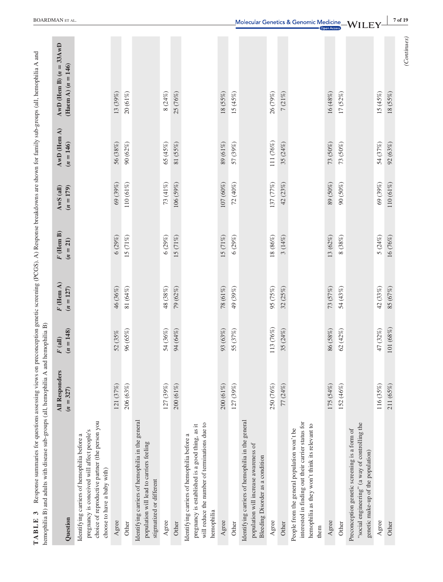| TABLE 3 Response summaries for questions assessing views on preconception genetic screening (PCGS). A) Response breakdowns are shown for family sub-groups (all, hemophilia A and<br>hemophilia B) and adults with disease sub-groups (all, hemophilia A |                                      | and hemophilia B)             |                            |                           |                                   |                                               |                                                     |
|----------------------------------------------------------------------------------------------------------------------------------------------------------------------------------------------------------------------------------------------------------|--------------------------------------|-------------------------------|----------------------------|---------------------------|-----------------------------------|-----------------------------------------------|-----------------------------------------------------|
| Question                                                                                                                                                                                                                                                 | <b>All Responders</b><br>$(n = 327)$ | $(n = 148)$<br>$F\ (\rm all)$ | $F$ (Hem A)<br>$(n = 127)$ | $F$ (Hem B)<br>$(n = 21)$ | $(n = 179)$<br>$\angle$ AwS (all) | $\mathbf{\hat{A}}$<br>AwD (Hem<br>$(n = 146)$ | 33AwD<br>(Haem A) $(n = 146)$<br>AwD (Hem B) $(n =$ |
| choice of reproductive partner (the person you<br>pregnancy is conceived will affect people's<br>Identifying carriers of hemophilia before a<br>choose to have a baby with)                                                                              |                                      |                               |                            |                           |                                   |                                               |                                                     |
| Agree                                                                                                                                                                                                                                                    | 121 (37%)                            | 52 (35%                       | 46 (36%)                   | 6(29%)                    | 69 (39%)                          | 56 (38%)                                      | 13 (39%)                                            |
| Other                                                                                                                                                                                                                                                    | 206 (63%)                            | 96 (65%)                      | 81 (64%)                   | $15(71\%)$                | 110 (61%)                         | $90~(62\%)$                                   | 20(61%)                                             |
| Identifying carriers of hemophilia in the general<br>population will lead to carriers feeling<br>stigmatized or different                                                                                                                                |                                      |                               |                            |                           |                                   |                                               |                                                     |
| Agree                                                                                                                                                                                                                                                    | 127 (39%)                            | 54 (36%)                      | 48 (38%)                   | 6(29%)                    | 73 (41%)                          | 65(45%)                                       | 8(24%)                                              |
| Other                                                                                                                                                                                                                                                    | 200 (61%)                            | 94 (64%)                      | 79 (62%)                   | 15(71%)                   | 106 (59%)                         | 81 (55%)                                      | 25 (76%)                                            |
| will reduce the number of terminations due to<br>pregnancy is established is a good thing, as it<br>Identifying carriers of hemophilia before a<br>hemophilia                                                                                            |                                      |                               |                            |                           |                                   |                                               |                                                     |
| Agree                                                                                                                                                                                                                                                    | 200 (61%)                            | 93 (63%)                      | 78 (61%)                   | 15(71%)                   | 107 (60%)                         | 89 (61%)                                      | 18 (55%)                                            |
| Other                                                                                                                                                                                                                                                    | 127 (39%)                            | 55 (37%)                      | $49(39\%)$                 | 6(29%)                    | 72 (40%)                          | 57 (39%)                                      | 15(45%)                                             |
| Identifying carriers of hemophilia in the general<br>population will increase awareness of<br>Bleeding Disorder as a condition                                                                                                                           |                                      |                               |                            |                           |                                   |                                               |                                                     |
| $A$ gree                                                                                                                                                                                                                                                 | 250 (76%)                            | 113 (76%)                     | 95 (75%)                   | 18 (86%)                  | 137 (77%)                         | 111 (76%)                                     | 26 (79%)                                            |
| Other                                                                                                                                                                                                                                                    | 77 (24%)                             | 35 (24%)                      | 32(25%)                    | 3(14%)                    | $(23\%)$<br>42                    | 35 (24%)                                      | 7(21%)                                              |
| interested in finding out their carrier status for<br>hemophilia as they won't think its relevant to<br>People from the general population won't be<br>them                                                                                              |                                      |                               |                            |                           |                                   |                                               |                                                     |
| Agree                                                                                                                                                                                                                                                    | 175 (54%)                            | 86 (58%)                      | 73 (57%)                   | 13 (62%)                  | 89 (50%)                          | 73 (50%)                                      | 16(48%)                                             |
| Other                                                                                                                                                                                                                                                    | 152 (46%)                            | 62(42%)                       | 54(43%)                    | 8 (38%)                   | 90 (50%)                          | 73 (50%)                                      | 17 (52%)                                            |
| "social engineering" (a way of controlling the<br>Preconception genetic screening is a form of<br>genetic make-up of the population)                                                                                                                     |                                      |                               |                            |                           |                                   |                                               |                                                     |
| Agree                                                                                                                                                                                                                                                    | 116 (35%)                            | 47 (32%)                      | 42 (33%)                   | 5(24%)                    | 69 (39%)                          | 54 (37%)                                      | 15(45%)                                             |
| Other                                                                                                                                                                                                                                                    | 211 (65%)                            | 101 (68%)                     | 85 (67%)                   | $16(76\%)$                | 110 (61%)                         | 92 (63%)                                      | 18(55%)                                             |
|                                                                                                                                                                                                                                                          |                                      |                               |                            |                           |                                   |                                               | (Continues)                                         |

 $\mathbf E$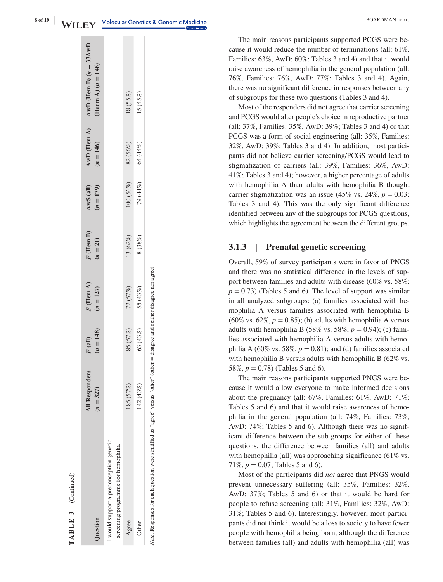The main reasons participants supported PCGS were be cause it would reduce the number of terminations (all: 61%, Families: 63%, AwD: 60%; Tables 3 and 4) and that it would raise awareness of hemophilia in the general population (all: 76%, Families: 76%, AwD: 77%; Tables 3 and 4). Again, there was no significant difference in responses between any of subgroups for these two questions (Tables 3 and 4).

Most of the responders did not agree that carrier screening and PCGS would alter people's choice in reproductive partner (all: 37%, Families: 35%, AwD: 39%; Tables 3 and 4) or that PCGS was a form of social engineering (all: 35%, Families: 32%, AwD: 39%; Tables 3 and 4). In addition, most partici pants did not believe carrier screening/PCGS would lead to stigmatization of carriers (all: 39%, Families: 36%, AwD: 41%; Tables 3 and 4); however, a higher percentage of adults with hemophilia A than adults with hemophilia B thought carrier stigmatization was an issue  $(45\% \text{ vs. } 24\%, p = 0.03)$ ; Tables 3 and 4). This was the only significant difference identified between any of the subgroups for PCGS questions, which highlights the agreement between the different groups.

#### **3.1.3** | **Prenatal genetic screening**

Overall, 59% of survey participants were in favor of PNGS and there was no statistical difference in the levels of sup port between families and adults with disease (60% vs. 58%;  $p = 0.73$ ) (Tables 5 and 6). The level of support was similar in all analyzed subgroups: (a) families associated with he mophilia A versus families associated with hemophilia B  $(60\% \text{ vs. } 62\%, p = 0.85)$ ; (b) adults with hemophilia A versus adults with hemophilia B  $(58\% \text{ vs. } 58\%, p = 0.94)$ ; (c) families associated with hemophilia A versus adults with hemo philia A  $(60\% \text{ vs. } 58\%, p = 0.81)$ ; and (d) families associated with hemophilia B versus adults with hemophilia B (62% vs. 58%,  $p = 0.78$ ) (Tables 5 and 6).

The main reasons participants supported PNGS were be cause it would allow everyone to make informed decisions about the pregnancy (all: 67%, Families: 61%, AwD: 71%; Tables 5 and 6) and that it would raise awareness of hemo philia in the general population (all: 74%, Families: 73%, AwD: 74%; Tables 5 and 6)**.** Although there was no significant difference between the sub‐groups for either of these questions, the difference between families (all) and adults with hemophilia (all) was approaching significance (61% vs. 71%,  $p = 0.07$ ; Tables 5 and 6).

Most of the participants did *not* agree that PNGS would prevent unnecessary suffering (all: 35%, Families: 32%, AwD: 37%; Tables 5 and 6) or that it would be hard for people to refuse screening (all: 31%, Families: 32%, AwD: 31%; Tables 5 and 6). Interestingly, however, most partici pants did not think it would be a loss to society to have fewer people with hemophilia being born, although the difference between families (all) and adults with hemophilia (all) was

| ొ      |
|--------|
| 덜<br>Ë |
| ≏      |
| ◀      |
| ۰      |

|                                                                                                                               | <b>All Responders</b> | $F$ (all) | $F$ (Hem A) | $F$ (Hem B) | $AwS$ (all) | $AWD$ (Hem A) | AwD (Hem B) $(n = 33AWD)$ |
|-------------------------------------------------------------------------------------------------------------------------------|-----------------------|-----------|-------------|-------------|-------------|---------------|---------------------------|
| Question                                                                                                                      | $(n = 327)$           | $n = 148$ | $(n = 127)$ | $(n = 21)$  | $(n = 179)$ | $(n = 146)$   | Haem A) $(n = 146)$       |
| I would support a preconception genetic<br>screening programme for hemophilia                                                 |                       |           |             |             |             |               |                           |
| Agree                                                                                                                         | 185 (57%)             | 85 (57%)  | 72(57%)     | 13 (62%)    | 00(56%)     | 82 (56%)      | (55%)                     |
| Other                                                                                                                         | 142 (43%)             | 63 (43%)  | 55 (43%)    | 8 (38%)     | 79 (44%)    | 64 (44%)      | 15(45%)                   |
| Note. Responses for each question were stratified as "agree" versus "other" (other = disagree and neither disagree nor agree) |                       |           |             |             |             |               |                           |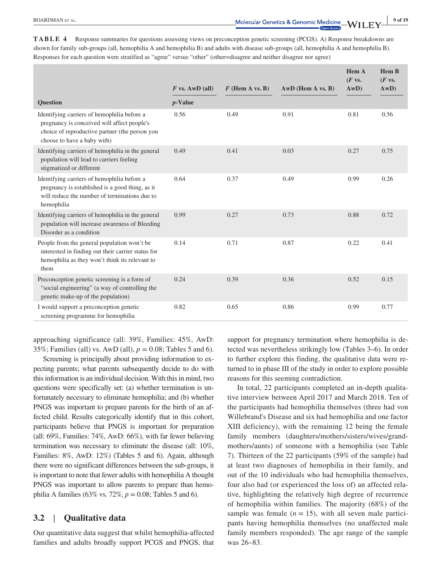**TABLE 4** Response summaries for questions assessing views on preconception genetic screening (PCGS). A) Response breakdowns are shown for family sub-groups (all, hemophilia A and hemophilia B) and adults with disease sub-groups (all, hemophilia A and hemophilia B). Responses for each question were stratified as "agree" versus "other" (other=disagree and neither disagree nor agree)

|                                                                                                                                                                             | $F$ vs. AwD (all) | $F$ (Hem A vs. B) | $AWD$ (Hem A vs. B) | <b>Hem A</b><br>$(F$ vs.<br>$AWD$ ) | <b>Hem B</b><br>$(F$ vs.<br>(AwD) |
|-----------------------------------------------------------------------------------------------------------------------------------------------------------------------------|-------------------|-------------------|---------------------|-------------------------------------|-----------------------------------|
| <b>Question</b>                                                                                                                                                             | $p$ -Value        |                   |                     |                                     |                                   |
| Identifying carriers of hemophilia before a<br>pregnancy is conceived will affect people's<br>choice of reproductive partner (the person you<br>choose to have a baby with) | 0.56              | 0.49              | 0.91                | 0.81                                | 0.56                              |
| Identifying carriers of hemophilia in the general<br>population will lead to carriers feeling<br>stigmatized or different                                                   | 0.49              | 0.41              | 0.03                | 0.27                                | 0.75                              |
| Identifying carriers of hemophilia before a<br>pregnancy is established is a good thing, as it<br>will reduce the number of terminations due to<br>hemophilia               | 0.64              | 0.37              | 0.49                | 0.99                                | 0.26                              |
| Identifying carriers of hemophilia in the general<br>population will increase awareness of Bleeding<br>Disorder as a condition                                              | 0.99              | 0.27              | 0.73                | 0.88                                | 0.72                              |
| People from the general population won't be<br>interested in finding out their carrier status for<br>hemophilia as they won't think its relevant to<br>them                 | 0.14              | 0.71              | 0.87                | 0.22                                | 0.41                              |
| Preconception genetic screening is a form of<br>"social engineering" (a way of controlling the<br>genetic make-up of the population)                                        | 0.24              | 0.39              | 0.36                | 0.52                                | 0.15                              |
| I would support a preconception genetic<br>screening programme for hemophilia                                                                                               | 0.82              | 0.65              | 0.86                | 0.99                                | 0.77                              |

approaching significance (all: 39%, Families: 45%, AwD: 35%; Families (all) vs. AwD (all), *p* = 0.08; Tables 5 and 6).

Screening is principally about providing information to expecting parents; what parents subsequently decide to do with this information is an individual decision. With this in mind, two questions were specifically set: (a) whether termination is unfortunately necessary to eliminate hemophilia; and (b) whether PNGS was important to prepare parents for the birth of an affected child. Results categorically identify that in this cohort, participants believe that PNGS is important for preparation (all: 69%, Families: 74%, AwD: 66%), with far fewer believing termination was necessary to eliminate the disease (all: 10%, Families: 8%, AwD: 12%) (Tables 5 and 6). Again, although there were no significant differences between the sub‐groups, it is important to note that fewer adults with hemophilia A thought PNGS was important to allow parents to prepare than hemophilia A families (63% vs. 72%, *p* = 0.08; Tables 5 and 6).

### **3.2** | **Qualitative data**

Our quantitative data suggest that whilst hemophilia‐affected families and adults broadly support PCGS and PNGS, that support for pregnancy termination where hemophilia is detected was nevertheless strikingly low (Tables 3‒6). In order to further explore this finding, the qualitative data were returned to in phase III of the study in order to explore possible reasons for this seeming contradiction.

In total, 22 participants completed an in‐depth qualitative interview between April 2017 and March 2018. Ten of the participants had hemophilia themselves (three had von Willebrand's Disease and six had hemophilia and one factor XIII deficiency), with the remaining 12 being the female family members (daughters/mothers/sisters/wives/grandmothers/aunts) of someone with a hemophilia (see Table 7). Thirteen of the 22 participants (59% of the sample) had at least two diagnoses of hemophilia in their family, and out of the 10 individuals who had hemophilia themselves, four also had (or experienced the loss of) an affected relative, highlighting the relatively high degree of recurrence of hemophilia within families. The majority (68%) of the sample was female  $(n = 15)$ , with all seven male participants having hemophilia themselves (no unaffected male family members responded). The age range of the sample was 26–83.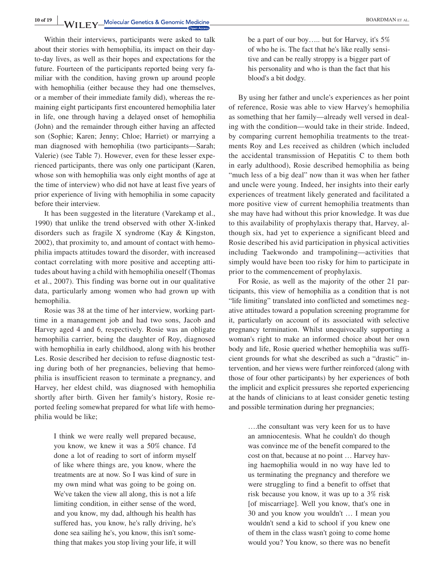**10 of 19 <sup>|</sup>** BOARDMAN et al.

Within their interviews, participants were asked to talk about their stories with hemophilia, its impact on their day‐ to‐day lives, as well as their hopes and expectations for the future. Fourteen of the participants reported being very familiar with the condition, having grown up around people with hemophilia (either because they had one themselves, or a member of their immediate family did), whereas the remaining eight participants first encountered hemophilia later in life, one through having a delayed onset of hemophilia (John) and the remainder through either having an affected son (Sophie; Karen; Jenny; Chloe; Harriet) or marrying a man diagnosed with hemophilia (two participants—Sarah; Valerie) (see Table 7). However, even for these lesser experienced participants, there was only one participant (Karen, whose son with hemophilia was only eight months of age at the time of interview) who did not have at least five years of prior experience of living with hemophilia in some capacity before their interview.

It has been suggested in the literature (Varekamp et al., 1990) that unlike the trend observed with other X‐linked disorders such as fragile X syndrome (Kay & Kingston, 2002), that proximity to, and amount of contact with hemophilia impacts attitudes toward the disorder, with increased contact correlating with more positive and accepting attitudes about having a child with hemophilia oneself (Thomas et al., 2007). This finding was borne out in our qualitative data, particularly among women who had grown up with hemophilia.

Rosie was 38 at the time of her interview, working part‐ time in a management job and had two sons, Jacob and Harvey aged 4 and 6, respectively. Rosie was an obligate hemophilia carrier, being the daughter of Roy, diagnosed with hemophilia in early childhood, along with his brother Les. Rosie described her decision to refuse diagnostic testing during both of her pregnancies, believing that hemophilia is insufficient reason to terminate a pregnancy, and Harvey, her eldest child, was diagnosed with hemophilia shortly after birth. Given her family's history, Rosie reported feeling somewhat prepared for what life with hemophilia would be like;

> I think we were really well prepared because, you know, we knew it was a 50% chance. I'd done a lot of reading to sort of inform myself of like where things are, you know, where the treatments are at now. So I was kind of sure in my own mind what was going to be going on. We've taken the view all along, this is not a life limiting condition, in either sense of the word, and you know, my dad, although his health has suffered has, you know, he's rally driving, he's done sea sailing he's, you know, this isn't something that makes you stop living your life, it will

be a part of our boy….. but for Harvey, it's 5% of who he is. The fact that he's like really sensitive and can be really stroppy is a bigger part of his personality and who is than the fact that his blood's a bit dodgy.

By using her father and uncle's experiences as her point of reference, Rosie was able to view Harvey's hemophilia as something that her family—already well versed in dealing with the condition—would take in their stride. Indeed, by comparing current hemophilia treatments to the treatments Roy and Les received as children (which included the accidental transmission of Hepatitis C to them both in early adulthood), Rosie described hemophilia as being "much less of a big deal" now than it was when her father and uncle were young. Indeed, her insights into their early experiences of treatment likely generated and facilitated a more positive view of current hemophilia treatments than she may have had without this prior knowledge. It was due to this availability of prophylaxis therapy that, Harvey, although six, had yet to experience a significant bleed and Rosie described his avid participation in physical activities including Taekwondo and trampolining—activities that simply would have been too risky for him to participate in prior to the commencement of prophylaxis.

For Rosie, as well as the majority of the other 21 participants, this view of hemophilia as a condition that is not "life limiting" translated into conflicted and sometimes negative attitudes toward a population screening programme for it, particularly on account of its associated with selective pregnancy termination. Whilst unequivocally supporting a woman's right to make an informed choice about her own body and life, Rosie queried whether hemophilia was sufficient grounds for what she described as such a "drastic" intervention, and her views were further reinforced (along with those of four other participants) by her experiences of both the implicit and explicit pressures she reported experiencing at the hands of clinicians to at least consider genetic testing and possible termination during her pregnancies;

> ….the consultant was very keen for us to have an amniocentesis. What he couldn't do though was convince me of the benefit compared to the cost on that, because at no point … Harvey having haemophilia would in no way have led to us terminating the pregnancy and therefore we were struggling to find a benefit to offset that risk because you know, it was up to a 3% risk [of miscarriage]. Well you know, that's one in 30 and you know you wouldn't … I mean you wouldn't send a kid to school if you knew one of them in the class wasn't going to come home would you? You know, so there was no benefit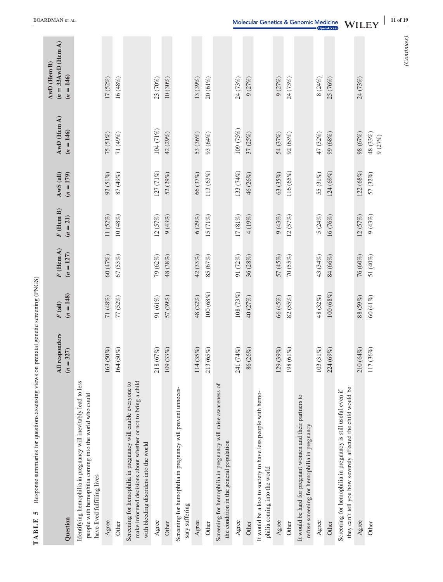| ļ<br>ì<br>١<br> <br> <br> <br>             |
|--------------------------------------------|
|                                            |
| J                                          |
| ı                                          |
|                                            |
|                                            |
| <b>CACAGON AND CONTRACTORS CONTRACTORS</b> |
| そくきょくそくそく<br>í                             |
|                                            |
| 1、《大学》《大学》《大学》《大学》《大学》《大学》《大学》《大学》         |
| í<br>$\ddot{\phantom{0}}$<br>ļ             |
| J<br>l                                     |
| ļ<br>l                                     |
| l<br>F<br>۰<br>ļ<br>l                      |

| Response summaries for questions assessing views on prenatal genetic screening (PNGS)<br>TABLE 5                                                                         |                             |                          |                            |                           |                          |                            |                                                    |
|--------------------------------------------------------------------------------------------------------------------------------------------------------------------------|-----------------------------|--------------------------|----------------------------|---------------------------|--------------------------|----------------------------|----------------------------------------------------|
| Question                                                                                                                                                                 | All responders<br>$n = 327$ | $(n = 148)$<br>$F$ (all) | $F$ (Hem A)<br>$(n = 127)$ | $F$ (Hem B)<br>$(n = 21)$ | $(n = 179)$<br>AWS (all) | AwD (Hem A)<br>$(n = 146)$ | $(n = 33AWD$ (Hem A)<br>AwD (Hem B)<br>$(n = 146)$ |
| Identifying hemophilia in pregnancy will inevitably lead to less<br>people with hemophilia coming into the world who could<br>have lived fulfilling lives                |                             |                          |                            |                           |                          |                            |                                                    |
| Agree                                                                                                                                                                    | 63 (50%)                    | 71 (48%)                 | 60 (47%)                   | 11 (52%)                  | 92(51%)                  | 75 (51%)                   | 17 (52%)                                           |
| Other                                                                                                                                                                    | 64 (50%)                    | 77 (52%)                 | 67 (53%)                   | 10(48%)                   | 87 (49%)                 | 71 (49%)                   | $16~(48\%)$                                        |
| make informed decisions about whether or not to bring a child<br>Screening for hemophilia in pregnancy will enable everyone to<br>with bleeding disorders into the world |                             |                          |                            |                           |                          |                            |                                                    |
| Agree                                                                                                                                                                    | 218 (67%)                   | 91 (61%)                 | 79 (62%)                   | 12(57%)                   | 127 (71%)                | 104 (71%)                  | 23 (70%)                                           |
| Other                                                                                                                                                                    | .09(33%)                    | 57 (39%)                 | 48 (38%)                   | 9(43%)                    | 52 (29%)                 | 42 (29%)                   | $10(30\%)$                                         |
| Screening for hemophilia in pregnancy will prevent unneces-<br>sary suffering                                                                                            |                             |                          |                            |                           |                          |                            |                                                    |
| Agree                                                                                                                                                                    | 114(35%)                    | 48 (32%)                 | 42 (33%)                   | 6(29%)                    | 66 (37%)                 | 53 (36%)                   | 13 (39%)                                           |
| Other                                                                                                                                                                    | 213 (65%)                   | 100 (68%)                | 85 (67%)                   | 15(71%)                   | 113 (63%)                | 93 (64%)                   | 20 (61%)                                           |
| Screening for hemophilia in pregnancy will raise awareness of<br>the condition in the general population                                                                 |                             |                          |                            |                           |                          |                            |                                                    |
| Agree                                                                                                                                                                    | 241 (74%)                   | 108 (73%)                | 91 (72%)                   | $17~(81\%)$               | 133 (74%)                | 109 (75%)                  | 24 (73%)                                           |
| Other                                                                                                                                                                    | 86 (26%)                    | 40 (27%)                 | 36 (28%)                   | 4 (19%)                   | 46 (26%)                 | 37 (25%)                   | 9(27%)                                             |
| It would be a loss to society to have less people with hemo-<br>philia coming into the world                                                                             |                             |                          |                            |                           |                          |                            |                                                    |
| Agree                                                                                                                                                                    | 129 (39%)                   | 66 (45%)                 | 57 (45%)                   | 9(43%)                    | 63 (35%)                 | 54 (37%)                   | 9(27%)                                             |
| Other                                                                                                                                                                    | 198 (61%)                   | 82 (55%)                 | 70 (55%)                   | 12(57%)                   | 116 (65%)                | 92 (63%)                   | 24(73%)                                            |
| It would be hard for pregnant women and their partners to<br>refuse screening for hemophilia in pregnancy                                                                |                             |                          |                            |                           |                          |                            |                                                    |
| Agree                                                                                                                                                                    | 103(31%)                    | 48 (32%)                 | 43 (34%)                   | 5(24%)                    | 55 (31%)                 | 47 (32%)                   | $8~(24\%)$                                         |
| Other                                                                                                                                                                    | 224 (69%)                   | 100(68%)                 | 84 (66%)                   | 16 (76%)                  | 124 (69%)                | 99 (68%)                   | 25 (76%)                                           |
| they can't tell you how severely affected the child would be<br>Screening for hemophilia in pregnancy is still useful even if                                            |                             |                          |                            |                           |                          |                            |                                                    |
| Agree                                                                                                                                                                    | 210 (64%)                   | 88 (59%)                 | 76 (60%)                   | 12 (57%)                  | 122 (68%)                | 98 (67%)                   | 24 (73%)                                           |
| Other                                                                                                                                                                    | 117 (36%)                   | 60(41%)                  | 51 (40%)                   | 9(43%)                    | 57 (32%)                 | 48 (33%)<br>9(27%)         |                                                    |
|                                                                                                                                                                          |                             |                          |                            |                           |                          |                            | (Continues)                                        |

**ILEY**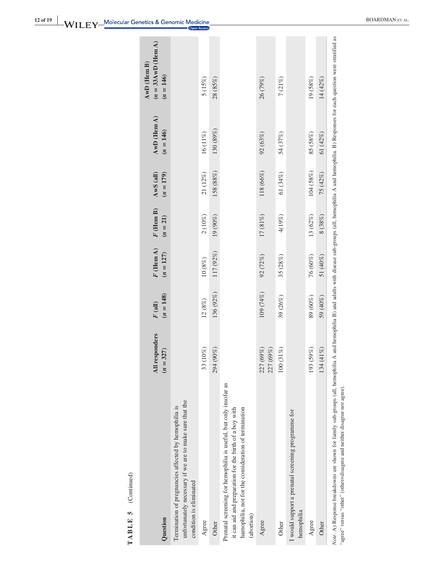| u<br>D      |
|-------------|
| l<br>Þ<br>í |
|             |
| ∍           |
| ◀           |
| ۰           |

| Question                                                                                                                                                                                                                | All responders<br>$= 327$<br>$\tilde{a}$ | $(n = 148)$<br>$F$ (all) | $F$ (Hem A)<br>$(n = 127)$ | $F$ (Hem B)<br>$(n = 21)$ | AwS (all)<br>$(n = 179)$ | AwD (Hem A)<br>$(n = 146)$ | $(n = 33$ AwD (Hem A)<br>$AWD$ (Hem B)<br>$(n = 146)$ |
|-------------------------------------------------------------------------------------------------------------------------------------------------------------------------------------------------------------------------|------------------------------------------|--------------------------|----------------------------|---------------------------|--------------------------|----------------------------|-------------------------------------------------------|
| unfortunately necessary if we are to make sure that the<br>Termination of pregnancies affected by hemophilia is<br>condition is eliminated                                                                              |                                          |                          |                            |                           |                          |                            |                                                       |
| Agree                                                                                                                                                                                                                   | 33 (10%)                                 | 12(8%)                   | 10(8%)                     | 2(10%)                    | 21 (12%)                 | 16 (11%)                   | 5(15%)                                                |
| Other                                                                                                                                                                                                                   | 294 (90%)                                | 136 (92%)                | 117 (92%)                  | 19 (90%)                  | 158 (88%)                | 130 (89%)                  | 28 (85%)                                              |
| Prenatal screening for hemophilia is useful, but only insofar as<br>it can aid and preparation for the birth of a boy with<br>hamophilia, not for the consideration of termination<br>(abortion)                        |                                          |                          |                            |                           |                          |                            |                                                       |
| Agree                                                                                                                                                                                                                   | 227 (69%)<br>227 (69%)                   | 109 (74%)                | 92 (72%)                   | 17 (81%)                  | 118 (66%)                | 92 (63%)                   | 26 (79%)                                              |
| Other                                                                                                                                                                                                                   | 100(31%)                                 | 39 (26%)                 | 35 (28%)                   | 4(19%)                    | 61 (34%)                 | 54 (37%)                   | 7(21%)                                                |
| I would support a prenatal screening programme for<br>hemophilia                                                                                                                                                        |                                          |                          |                            |                           |                          |                            |                                                       |
| Agree                                                                                                                                                                                                                   | 193 (59%)                                | 89 (60%)                 | 76 (60%)                   | 13 (62%)                  | 104(58%)                 | 85(58%)                    | 19(58%)                                               |
| Other                                                                                                                                                                                                                   | 134 (41%)                                | 59 (40%)                 | 51 $(40%)$                 | 8(38%)                    | 75 (42%)                 | 61(42%)                    | 14(42%)                                               |
| Note. A) Response breakdowns are shown for family sub-groups (all, hemophila A and hemophila B) and adults with disease sub-groups (all, hemophilia A and hemophilia. B) Responses for each question were stratified as |                                          |                          |                            |                           |                          |                            |                                                       |

*Note*. A) Response breakdowns are shown for family sub‐groups (all, hemophilia A and hemophilia B) and hemophilia A and hemophilia. B) Responses for each question were stratified as ğ pι. цq Ę.  $\frac{2}{3}$  $\frac{1}{\alpha}$ ngo Ę. *Note.* A) Response breakdowns are shown for family sub-groups (all, he "agree" versus "other" (other=disagree and neither disagree nor agree). "agree" versus "other" (other=disagree and neither disagree nor agree).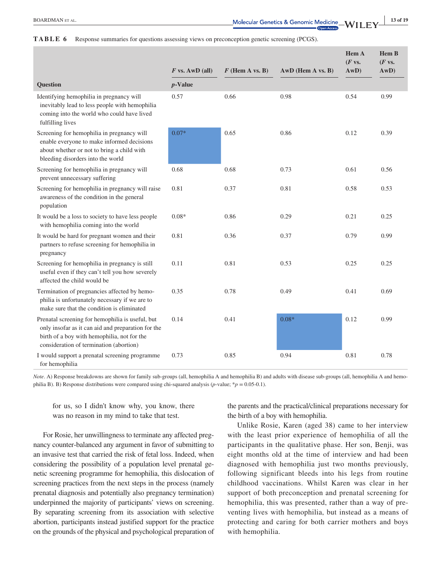#### **TABLE 6** Response summaries for questions assessing views on preconception genetic screening (PCGS).

|                                                                                                                                                                                                  | $F$ vs. AwD (all) | $F$ (Hem A vs. B)<br>AwD (Hem A vs. B) |         |      | Hem B<br>$(F$ vs.<br>AwD) |
|--------------------------------------------------------------------------------------------------------------------------------------------------------------------------------------------------|-------------------|----------------------------------------|---------|------|---------------------------|
| <b>Question</b>                                                                                                                                                                                  | $p$ -Value        |                                        |         |      |                           |
| Identifying hemophilia in pregnancy will<br>inevitably lead to less people with hemophilia<br>coming into the world who could have lived<br>fulfilling lives                                     | 0.57              | 0.66                                   | 0.98    | 0.54 | 0.99                      |
| Screening for hemophilia in pregnancy will<br>enable everyone to make informed decisions<br>about whether or not to bring a child with<br>bleeding disorders into the world                      | $0.07*$           | 0.65                                   | 0.86    | 0.12 | 0.39                      |
| Screening for hemophilia in pregnancy will<br>prevent unnecessary suffering                                                                                                                      | 0.68              | 0.68                                   | 0.73    | 0.61 | 0.56                      |
| Screening for hemophilia in pregnancy will raise<br>awareness of the condition in the general<br>population                                                                                      | 0.81              | 0.37                                   | 0.81    | 0.58 | 0.53                      |
| It would be a loss to society to have less people<br>with hemophilia coming into the world                                                                                                       | $0.08*$           | 0.86                                   | 0.29    | 0.21 | 0.25                      |
| It would be hard for pregnant women and their<br>partners to refuse screening for hemophilia in<br>pregnancy                                                                                     | 0.81              | 0.36                                   | 0.37    | 0.79 | 0.99                      |
| Screening for hemophilia in pregnancy is still<br>useful even if they can't tell you how severely<br>affected the child would be                                                                 | 0.11              | 0.81                                   | 0.53    | 0.25 | 0.25                      |
| Termination of pregnancies affected by hemo-<br>philia is unfortunately necessary if we are to<br>make sure that the condition is eliminated                                                     | 0.35              | 0.78                                   | 0.49    | 0.41 | 0.69                      |
| Prenatal screening for hemophilia is useful, but<br>only insofar as it can aid and preparation for the<br>birth of a boy with hemophilia, not for the<br>consideration of termination (abortion) | 0.14              | 0.41                                   | $0.08*$ | 0.12 | 0.99                      |
| I would support a prenatal screening programme<br>for hemophilia                                                                                                                                 | 0.73              | 0.85                                   | 0.94    | 0.81 | 0.78                      |

*Note*. A) Response breakdowns are shown for family sub-groups (all, hemophilia A and hemophilia B) and adults with disease sub-groups (all, hemophilia A and hemophilia B). B) Response distributions were compared using chi-squared analysis ( $p$ -value; \* $p = 0.05$ -0.1).

for us, so I didn't know why, you know, there was no reason in my mind to take that test.

For Rosie, her unwillingness to terminate any affected pregnancy counter‐balanced any argument in favor of submitting to an invasive test that carried the risk of fetal loss. Indeed, when considering the possibility of a population level prenatal genetic screening programme for hemophilia, this dislocation of screening practices from the next steps in the process (namely prenatal diagnosis and potentially also pregnancy termination) underpinned the majority of participants' views on screening. By separating screening from its association with selective abortion, participants instead justified support for the practice on the grounds of the physical and psychological preparation of the parents and the practical/clinical preparations necessary for the birth of a boy with hemophilia.

Unlike Rosie, Karen (aged 38) came to her interview with the least prior experience of hemophilia of all the participants in the qualitative phase. Her son, Benji, was eight months old at the time of interview and had been diagnosed with hemophilia just two months previously, following significant bleeds into his legs from routine childhood vaccinations. Whilst Karen was clear in her support of both preconception and prenatal screening for hemophilia, this was presented, rather than a way of preventing lives with hemophilia, but instead as a means of protecting and caring for both carrier mothers and boys with hemophilia.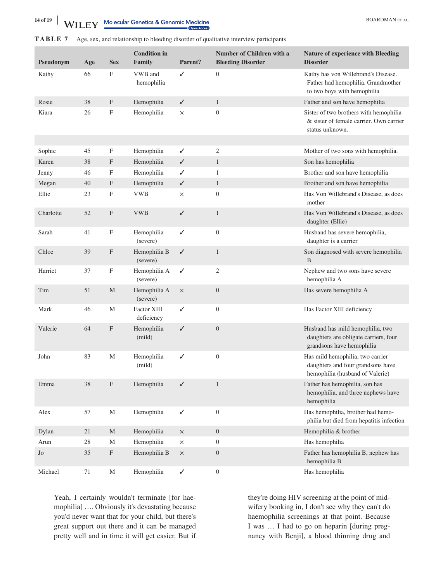**14 of 19 <sup>|</sup>** BOARDMAN et al.

| Pseudonym   | Age | <b>Sex</b>                | <b>Condition</b> in<br>Family | Parent?      | Number of Children with a<br><b>Bleeding Disorder</b> | Nature of experience with Bleeding<br><b>Disorder</b>                                                    |
|-------------|-----|---------------------------|-------------------------------|--------------|-------------------------------------------------------|----------------------------------------------------------------------------------------------------------|
| Kathy       | 66  | F                         | VWB and<br>hemophilia         | ✓            | $\boldsymbol{0}$                                      | Kathy has von Willebrand's Disease.<br>Father had hemophilia. Grandmother<br>to two boys with hemophilia |
| Rosie       | 38  | F                         | Hemophilia                    | $\checkmark$ | $\mathbf{1}$                                          | Father and son have hemophilia                                                                           |
| Kiara       | 26  | $\mathbf F$               | Hemophilia                    | $\times$     | $\boldsymbol{0}$                                      | Sister of two brothers with hemophilia<br>& sister of female carrier. Own carrier<br>status unknown.     |
|             |     |                           |                               |              |                                                       |                                                                                                          |
| Sophie      | 45  | F                         | Hemophilia                    | $\checkmark$ | 2                                                     | Mother of two sons with hemophilia.                                                                      |
| Karen       | 38  | $\boldsymbol{\mathrm{F}}$ | Hemophilia                    | $\checkmark$ | $\mathbf{1}$                                          | Son has hemophilia                                                                                       |
| Jenny       | 46  | $\boldsymbol{\mathrm{F}}$ | Hemophilia                    | ✓            | $\mathbf{1}$                                          | Brother and son have hemophilia                                                                          |
| Megan       | 40  | F                         | Hemophilia                    | $\checkmark$ | $\mathbf{1}$                                          | Brother and son have hemophilia                                                                          |
| Ellie       | 23  | $\boldsymbol{\mathrm{F}}$ | <b>VWB</b>                    | $\times$     | $\boldsymbol{0}$                                      | Has Von Willebrand's Disease, as does<br>mother                                                          |
| Charlotte   | 52  | $\boldsymbol{\mathrm{F}}$ | <b>VWB</b>                    | $\checkmark$ | $\mathbf{1}$                                          | Has Von Willebrand's Disease, as does<br>daughter (Ellie)                                                |
| Sarah       | 41  | $\boldsymbol{\mathrm{F}}$ | Hemophilia<br>(severe)        | ✓            | $\boldsymbol{0}$                                      | Husband has severe hemophilia,<br>daughter is a carrier                                                  |
| Chloe       | 39  | $\boldsymbol{\mathrm{F}}$ | Hemophilia B<br>(severe)      | $\checkmark$ | $\mathbf{1}$                                          | Son diagnosed with severe hemophilia<br>B                                                                |
| Harriet     | 37  | F                         | Hemophilia A<br>(severe)      | ✓            | $\mathfrak{2}$                                        | Nephew and two sons have severe<br>hemophilia A                                                          |
| Tim         | 51  | M                         | Hemophilia A<br>(severe)      | $\times$     | $\boldsymbol{0}$                                      | Has severe hemophilia A                                                                                  |
| Mark        | 46  | M                         | Factor XIII<br>deficiency     | $\checkmark$ | $\boldsymbol{0}$                                      | Has Factor XIII deficiency                                                                               |
| Valerie     | 64  | $\boldsymbol{\mathrm{F}}$ | Hemophilia<br>(mild)          | $\checkmark$ | $\boldsymbol{0}$                                      | Husband has mild hemophilia, two<br>daughters are obligate carriers, four<br>grandsons have hemophilia   |
| John        | 83  | M                         | Hemophilia<br>(mild)          | ✓            | $\boldsymbol{0}$                                      | Has mild hemophilia, two carrier<br>daughters and four grandsons have<br>hemophilia (husband of Valerie) |
| Emma        | 38  | F                         | Hemophilia                    | ✓            | $\mathbf{1}$                                          | Father has hemophilia, son has<br>hemophilia, and three nephews have<br>hemophilia                       |
| $\rm{Alex}$ | 57  | M                         | Hemophilia                    | ✓            | $\boldsymbol{0}$                                      | Has hemophilia, brother had hemo-<br>philia but died from hepatitis infection                            |
| Dylan       | 21  | $\mathbf M$               | Hemophilia                    | $\times$     | $\boldsymbol{0}$                                      | Hemophilia & brother                                                                                     |
| Arun        | 28  | M                         | Hemophilia                    | $\times$     | $\boldsymbol{0}$                                      | Has hemophilia                                                                                           |
| Jo          | 35  | $\boldsymbol{\mathrm{F}}$ | Hemophilia B                  | $\times$     | $\boldsymbol{0}$                                      | Father has hemophilia B, nephew has<br>hemophilia B                                                      |
| Michael     | 71  | M                         | Hemophilia                    | $\checkmark$ | $\boldsymbol{0}$                                      | Has hemophilia                                                                                           |

**TABLE 7** Age, sex, and relationship to bleeding disorder of qualitative interview participants

Yeah, I certainly wouldn't terminate [for haemophilia] …. Obviously it's devastating because you'd never want that for your child, but there's great support out there and it can be managed pretty well and in time it will get easier. But if they're doing HIV screening at the point of midwifery booking in, I don't see why they can't do haemophilia screenings at that point. Because I was … I had to go on heparin [during pregnancy with Benji], a blood thinning drug and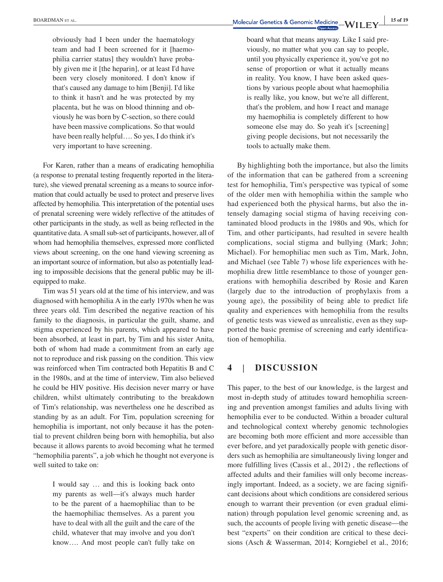obviously had I been under the haematology team and had I been screened for it [haemophilia carrier status] they wouldn't have probably given me it [the heparin], or at least I'd have been very closely monitored. I don't know if that's caused any damage to him [Benji]. I'd like to think it hasn't and he was protected by my placenta, but he was on blood thinning and obviously he was born by C‐section, so there could have been massive complications. So that would have been really helpful.... So yes, I do think it's very important to have screening.

For Karen, rather than a means of eradicating hemophilia (a response to prenatal testing frequently reported in the literature), she viewed prenatal screening as a means to source information that could actually be used to protect and preserve lives affected by hemophilia. This interpretation of the potential uses of prenatal screening were widely reflective of the attitudes of other participants in the study, as well as being reflected in the quantitative data. A small sub‐set of participants, however, all of whom had hemophilia themselves, expressed more conflicted views about screening, on the one hand viewing screening as an important source of information, but also as potentially leading to impossible decisions that the general public may be illequipped to make.

Tim was 51 years old at the time of his interview, and was diagnosed with hemophilia A in the early 1970s when he was three years old. Tim described the negative reaction of his family to the diagnosis, in particular the guilt, shame, and stigma experienced by his parents, which appeared to have been absorbed, at least in part, by Tim and his sister Anita, both of whom had made a commitment from an early age not to reproduce and risk passing on the condition. This view was reinforced when Tim contracted both Hepatitis B and C in the 1980s, and at the time of interview, Tim also believed he could be HIV positive. His decision never marry or have children, whilst ultimately contributing to the breakdown of Tim's relationship, was nevertheless one he described as standing by as an adult. For Tim, population screening for hemophilia is important, not only because it has the potential to prevent children being born with hemophilia, but also because it allows parents to avoid becoming what he termed "hemophilia parents", a job which he thought not everyone is well suited to take on:

> I would say … and this is looking back onto my parents as well—it's always much harder to be the parent of a haemophiliac than to be the haemophiliac themselves. As a parent you have to deal with all the guilt and the care of the child, whatever that may involve and you don't know…. And most people can't fully take on

**EXECUTE AND EXECUTE A** LET A LET A LET A LET A LET A LET A LET A LET A LET A LET A LET A LET A LET A LET A LET A LET A LET A LET A LET A LET A LET A LET A LET A LET A LET A LET A LET A LET A LET A LET A LET A LET A LET A

board what that means anyway. Like I said previously, no matter what you can say to people, until you physically experience it, you've got no sense of proportion or what it actually means in reality. You know, I have been asked questions by various people about what haemophilia is really like, you know, but we're all different, that's the problem, and how I react and manage my haemophilia is completely different to how someone else may do. So yeah it's [screening] giving people decisions, but not necessarily the tools to actually make them.

By highlighting both the importance, but also the limits of the information that can be gathered from a screening test for hemophilia, Tim's perspective was typical of some of the older men with hemophilia within the sample who had experienced both the physical harms, but also the intensely damaging social stigma of having receiving contaminated blood products in the 1980s and 90s, which for Tim, and other participants, had resulted in severe health complications, social stigma and bullying (Mark; John; Michael). For hemophiliac men such as Tim, Mark, John, and Michael (see Table 7) whose life experiences with hemophilia drew little resemblance to those of younger generations with hemophilia described by Rosie and Karen (largely due to the introduction of prophylaxis from a young age), the possibility of being able to predict life quality and experiences with hemophilia from the results of genetic tests was viewed as unrealistic, even as they supported the basic premise of screening and early identification of hemophilia.

### **4** | **DISCUSSION**

This paper, to the best of our knowledge, is the largest and most in‐depth study of attitudes toward hemophilia screening and prevention amongst families and adults living with hemophilia ever to be conducted. Within a broader cultural and technological context whereby genomic technologies are becoming both more efficient and more accessible than ever before, and yet paradoxically people with genetic disorders such as hemophilia are simultaneously living longer and more fulfilling lives (Cassis et al., 2012) , the reflections of affected adults and their families will only become increasingly important. Indeed, as a society, we are facing significant decisions about which conditions are considered serious enough to warrant their prevention (or even gradual elimination) through population level genomic screening and, as such, the accounts of people living with genetic disease—the best "experts" on their condition are critical to these decisions (Asch & Wasserman, 2014; Korngiebel et al., 2016;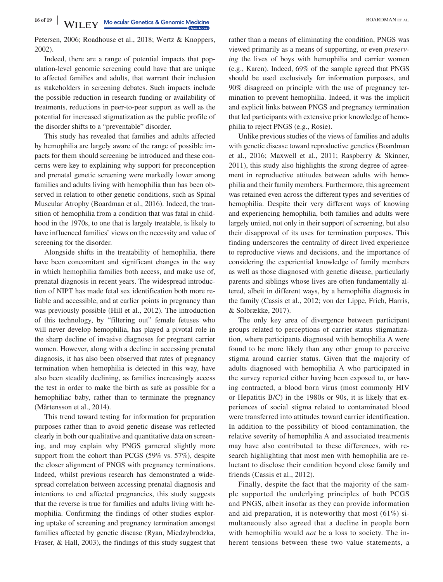Petersen, 2006; Roadhouse et al., 2018; Wertz & Knoppers, 2002).

Indeed, there are a range of potential impacts that population‐level genomic screening could have that are unique to affected families and adults, that warrant their inclusion as stakeholders in screening debates. Such impacts include the possible reduction in research funding or availability of treatments, reductions in peer‐to‐peer support as well as the potential for increased stigmatization as the public profile of the disorder shifts to a "preventable" disorder.

This study has revealed that families and adults affected by hemophilia are largely aware of the range of possible impacts for them should screening be introduced and these concerns were key to explaining why support for preconception and prenatal genetic screening were markedly lower among families and adults living with hemophilia than has been observed in relation to other genetic conditions, such as Spinal Muscular Atrophy (Boardman et al., 2016). Indeed, the transition of hemophilia from a condition that was fatal in childhood in the 1970s, to one that is largely treatable, is likely to have influenced families' views on the necessity and value of screening for the disorder.

Alongside shifts in the treatability of hemophilia, there have been concomitant and significant changes in the way in which hemophilia families both access, and make use of, prenatal diagnosis in recent years. The widespread introduction of NIPT has made fetal sex identification both more reliable and accessible, and at earlier points in pregnancy than was previously possible (Hill et al., 2012). The introduction of this technology, by "filtering out" female fetuses who will never develop hemophilia, has played a pivotal role in the sharp decline of invasive diagnoses for pregnant carrier women. However, along with a decline in accessing prenatal diagnosis, it has also been observed that rates of pregnancy termination when hemophilia is detected in this way, have also been steadily declining, as families increasingly access the test in order to make the birth as safe as possible for a hemophiliac baby, rather than to terminate the pregnancy (Mårtensson et al., 2014).

This trend toward testing for information for preparation purposes rather than to avoid genetic disease was reflected clearly in both our qualitative and quantitative data on screening, and may explain why PNGS garnered slightly more support from the cohort than PCGS (59% vs. 57%), despite the closer alignment of PNGS with pregnancy terminations. Indeed, whilst previous research has demonstrated a widespread correlation between accessing prenatal diagnosis and intentions to end affected pregnancies, this study suggests that the reverse is true for families and adults living with hemophilia. Confirming the findings of other studies exploring uptake of screening and pregnancy termination amongst families affected by genetic disease (Ryan, Miedzybrodzka, Fraser, & Hall, 2003), the findings of this study suggest that rather than a means of eliminating the condition, PNGS was viewed primarily as a means of supporting, or even *preserving* the lives of boys with hemophilia and carrier women (e.g., Karen). Indeed, 69% of the sample agreed that PNGS should be used exclusively for information purposes, and 90% disagreed on principle with the use of pregnancy termination to prevent hemophilia. Indeed, it was the implicit and explicit links between PNGS and pregnancy termination that led participants with extensive prior knowledge of hemophilia to reject PNGS (e.g., Rosie).

Unlike previous studies of the views of families and adults with genetic disease toward reproductive genetics (Boardman et al., 2016; Maxwell et al., 2011; Raspberry & Skinner, 2011), this study also highlights the strong degree of agreement in reproductive attitudes between adults with hemophilia and their family members. Furthermore, this agreement was retained even across the different types and severities of hemophilia. Despite their very different ways of knowing and experiencing hemophilia, both families and adults were largely united, not only in their support of screening, but also their disapproval of its uses for termination purposes. This finding underscores the centrality of direct lived experience to reproductive views and decisions, and the importance of considering the experiential knowledge of family members as well as those diagnosed with genetic disease, particularly parents and siblings whose lives are often fundamentally altered, albeit in different ways, by a hemophilia diagnosis in the family (Cassis et al., 2012; von der Lippe, Frich, Harris, & Solbrække, 2017).

The only key area of divergence between participant groups related to perceptions of carrier status stigmatization, where participants diagnosed with hemophilia A were found to be more likely than any other group to perceive stigma around carrier status. Given that the majority of adults diagnosed with hemophilia A who participated in the survey reported either having been exposed to, or having contracted, a blood born virus (most commonly HIV or Hepatitis B/C) in the 1980s or 90s, it is likely that experiences of social stigma related to contaminated blood were transferred into attitudes toward carrier identification. In addition to the possibility of blood contamination, the relative severity of hemophilia A and associated treatments may have also contributed to these differences, with research highlighting that most men with hemophilia are reluctant to disclose their condition beyond close family and friends (Cassis et al., 2012).

Finally, despite the fact that the majority of the sample supported the underlying principles of both PCGS and PNGS, albeit insofar as they can provide information and aid preparation, it is noteworthy that most  $(61\%)$  simultaneously also agreed that a decline in people born with hemophilia would *not* be a loss to society. The inherent tensions between these two value statements, a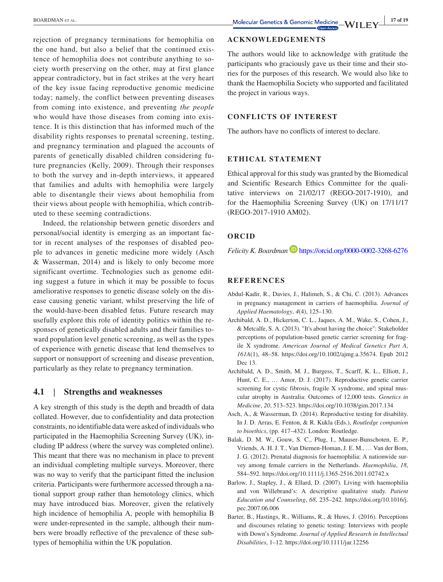rejection of pregnancy terminations for hemophilia on the one hand, but also a belief that the continued existence of hemophilia does not contribute anything to society worth preserving on the other, may at first glance appear contradictory, but in fact strikes at the very heart of the key issue facing reproductive genomic medicine today; namely, the conflict between preventing diseases from coming into existence, and preventing *the people*  who would have those diseases from coming into existence. It is this distinction that has informed much of the disability rights responses to prenatal screening, testing, and pregnancy termination and plagued the accounts of parents of genetically disabled children considering future pregnancies (Kelly, 2009). Through their responses to both the survey and in‐depth interviews, it appeared that families and adults with hemophilia were largely able to disentangle their views about hemophilia from their views about people with hemophilia, which contributed to these seeming contradictions.

Indeed, the relationship between genetic disorders and personal/social identity is emerging as an important factor in recent analyses of the responses of disabled people to advances in genetic medicine more widely (Asch & Wasserman, 2014) and is likely to only become more significant overtime. Technologies such as genome editing suggest a future in which it may be possible to focus ameliorative responses to genetic disease solely on the disease causing genetic variant, whilst preserving the life of the would‐have‐been disabled fetus. Future research may usefully explore this role of identity politics within the responses of genetically disabled adults and their families toward population level genetic screening, as well as the types of experience with genetic disease that lend themselves to support or nonsupport of screening and disease prevention, particularly as they relate to pregnancy termination.

## **4.1** | **Strengths and weaknesses**

A key strength of this study is the depth and breadth of data collated. However, due to confidentiality and data protection constraints, no identifiable data were asked of individuals who participated in the Haemophilia Screening Survey (UK), including IP address (where the survey was completed online). This meant that there was no mechanism in place to prevent an individual completing multiple surveys. Moreover, there was no way to verify that the participant fitted the inclusion criteria. Participants were furthermore accessed through a national support group rather than hemotology clinics, which may have introduced bias. Moreover, given the relatively high incidence of hemophilia A, people with hemophilia B were under-represented in the sample, although their numbers were broadly reflective of the prevalence of these sub‐ types of hemophilia within the UK population.

#### **ACKNOWLEDGEMENTS**

The authors would like to acknowledge with gratitude the participants who graciously gave us their time and their stories for the purposes of this research. We would also like to thank the Haemophilia Society who supported and facilitated the project in various ways.

#### **CONFLICTS OF INTEREST**

The authors have no conflicts of interest to declare.

#### **ETHICAL STATEMENT**

Ethical approval for this study was granted by the Biomedical and Scientific Research Ethics Committee for the qualitative interviews on 21/02/17 (REGO‐2017‐1910), and for the Haemophilia Screening Survey (UK) on 17/11/17 (REGO‐2017‐1910 AM02).

#### **ORCID**

*Felicity K. Boardma[n](https://orcid.org/0000-0002-3268-6276)* <https://orcid.org/0000-0002-3268-6276>

#### **REFERENCES**

- Abdul‐Kadir, R., Davies, J., Halimeh, S., & Chi, C. (2013). Advances in pregnancy management in carriers of haemophilia. *Journal of Applied Haematology*, *4*(4), 125–130.
- Archibald, A. D., Hickerton, C. L., Jaques, A. M., Wake, S., Cohen, J., & Metcalfe, S. A. (2013). "It's about having the choice": Stakeholder perceptions of population‐based genetic carrier screening for fragile X syndrome. *American Journal of Medical Genetics Part A*, *161A*(1), 48–58. <https://doi.org/10.1002/ajmg.a.35674>. Epub 2012 Dec 13.
- Archibald, A. D., Smith, M. J., Burgess, T., Scarff, K. L., Elliott, J., Hunt, C. E., … Amor, D. J. (2017). Reproductive genetic carrier screening for cystic fibrosis, fragile X syndrome, and spinal muscular atrophy in Australia: Outcomes of 12,000 tests. *Genetics in Medicine*, *20*, 513–523.<https://doi.org/10.1038/gim.2017.134>
- Asch, A., & Wasserman, D. (2014). Reproductive testing for disability. In J. D. Arras, E. Fenton, & R. Kukla (Eds.), *Routledge companion to bioethics*, (pp. 417–432). London: Routledge.
- Balak, D. M. W., Gouw, S. C., Plug, I., Mauser‐Bunschoten, E. P., Vriends, A. H. J. T., Van Diemen‐Homan, J. E. M., … Van der Bom, J. G. (2012). Prenatal diagnosis for haemophilia: A nationwide survey among female carriers in the Netherlands. *Haemophilia*, *18*, 584–592. <https://doi.org/10.1111/j.1365-2516.2011.02742.x>
- Barlow, J., Stapley, J., & Ellard, D. (2007). Living with haemophilia and von Willebrand's: A descriptive qualitative study. *Patient Education and Counseling*, *68*, 235–242. [https://doi.org/10.1016/j.](https://doi.org/10.1016/j.pec.2007.06.006) [pec.2007.06.006](https://doi.org/10.1016/j.pec.2007.06.006)
- Barter, B., Hastings, R., Williams, R., & Huws, J. (2016). Perceptions and discourses relating to genetic testing: Interviews with people with Down's Syndrome. *Journal of Applied Research in Intellectual Disabilities*, 1–12. <https://doi.org/10.1111/jar.12256>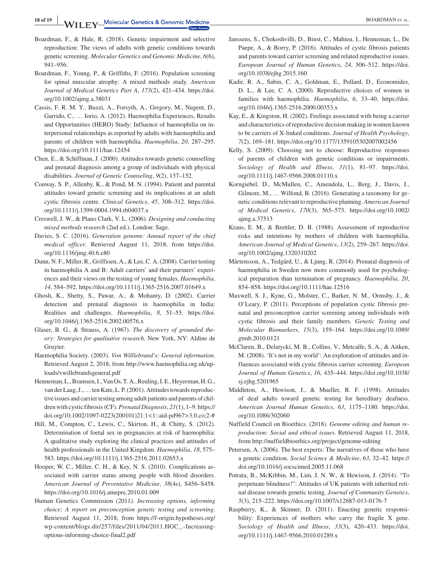- Boardman, F., & Hale, R. (2018). Genetic impairment and selective reproduction: The views of adults with genetic conditions towards genetic screening. *Molecular Genetics and Genomic Medicine*, *6*(6), 941–956.
- Boardman, F., Young, P., & Griffiths, F. (2016). Population screening for spinal muscular atrophy: A mixed methods study. *American Journal of Medical Genetics Part A*, *173*(2), 421–434. [https://doi.](https://doi.org/10.1002/ajmg.a.38031) [org/10.1002/ajmg.a.38031](https://doi.org/10.1002/ajmg.a.38031)
- Cassis, F. R. M. Y., Buzzi, A., Forsyth, A., Gregory, M., Nugent, D., Garrido, C., … Iorio, A. (2012). Haemophilia Experiences, Results and Opportunities (HERO) Study: Influence of haemophilia on interpersonal relationships as reported by adults with haemophilia and parents of children with haemophilia. *Haemophilia*, *20*, 287–295. <https://doi.org/10.1111/hae.12454>
- Chen, E., & Schiffman, J. (2000). Attitudes towards genetic counselling and prenatal diagnosis among a group of individuals with physical disabilities. *Journal of Genetic Counseling*, *9*(2), 137–152.
- Conway, S. P., Allenby, K., & Pond, M. N. (1994). Patient and parental attitudes toward genetic screening and its implications at an adult cystic fibrosis centre. *Clinical Genetics*, *45*, 308–312. [https://doi.](https://doi.org/10.1111/j.1399-0004.1994.tb04037.x) [org/10.1111/j.1399-0004.1994.tb04037.x](https://doi.org/10.1111/j.1399-0004.1994.tb04037.x)
- Creswell, J. W., & Plano Clark, V. L. (2006). *Designing and conducting mixed methods research* (2nd ed.). London: Sage.
- Davies, S. C. (2016). *Generation genome: Annual report of the chief medical officer*. Retrieved August 11, 2018, from [https://doi.](https://doi.org/10.1136/jmg.40.6.e80) [org/10.1136/jmg.40.6.e80](https://doi.org/10.1136/jmg.40.6.e80)
- Dunn, N. F., Miller, R., Griffioen, A., & Lee, C. A. (2008). Carrier testing in haemophilia A and B: Adult carriers' and their partners' experiences and their views on the testing of young females. *Haemophilia*, *14*, 584–592.<https://doi.org/10.1111/j.1365-2516.2007.01649.x>
- Ghosh, K., Shetty, S., Pawar, A., & Mohanty, D. (2002). Carrier detection and prenatal diagnosis in haemophilia in India: Realities and challenges. *Haemophilia*, *8*, 51–55. [https://doi.](https://doi.org/10.1046/j.1365-2516.2002.00576.x) [org/10.1046/j.1365-2516.2002.00576.x](https://doi.org/10.1046/j.1365-2516.2002.00576.x)
- Glaser, B. G., & Strauss, A. (1967). *The discovery of grounded theory: Strategies for qualitative research*. New York, NY: Aldine de Gruyter.
- Haemophilia Society. (2003). *Von Willlebrand's: General information*. Retrieved August 2, 2018, from [http://www.haemophilia.org.uk/up](http://www.haemophilia.org.uk/uploads/vwillebrandsgeneral.pdf)[loads/vwillebrandsgeneral.pdf](http://www.haemophilia.org.uk/uploads/vwillebrandsgeneral.pdf)
- Henneman, L., Bramsen, I., Van Os, T. A., Reuling, I. E., Heyerman, H. G., van der Laag, J., … ten Kate, L. P. (2001). Attitudes towards reproductive issues and carrier testing among adult patients and parents of children with cystic fibrosis (CF). *Prenatal Diagnosis*, *21*(1), 1–9. [https://](https://doi.org/10.1002/1097-0223(200101)21:1<1::aid-pd967>3.0.co;2-#) [doi.org/10.1002/1097-0223\(200101\)21:1<1::aid-pd967>3.0.co;2-#](https://doi.org/10.1002/1097-0223(200101)21:1<1::aid-pd967>3.0.co;2-#)
- Hill, M., Compton, C., Lewis, C., Skirton, H., & Chitty, S. (2012). Determination of foetal sex in pregnancies at risk of haemophilia: A qualitative study exploring the clinical practices and attitudes of health professionals in the United Kingdom. *Haemophilia*, *18*, 575– 583.<https://doi.org/10.1111/j.1365-2516.2011.02653.x>
- Hooper, W. C., Miller, C. H., & Key, N. S. (2010). Complications associated with carrier status among people with blood disorders. *American Journal of Preventative Medicine*, *38*(4s), S456–S458. <https://doi.org/10.1016/j.amepre.2010.01.009>
- Human Genetics Commission (2011). *Increasing options, informing choice: A report on preconception genetic testing and screening*. Retrieved August 11, 2018, from [https://f-origin.hypotheses.org/](https://f-origin.hypotheses.org/wp-content/blogs.dir/257/files/2011/04/2011.HGC_.-Increasing-options-informing-choice-final2.pdf) [wp-content/blogs.dir/257/files/2011/04/2011.HGC\\_.-Increasing](https://f-origin.hypotheses.org/wp-content/blogs.dir/257/files/2011/04/2011.HGC_.-Increasing-options-informing-choice-final2.pdf)[options-informing-choice-final2.pdf](https://f-origin.hypotheses.org/wp-content/blogs.dir/257/files/2011/04/2011.HGC_.-Increasing-options-informing-choice-final2.pdf)
- Janssens, S., Chokoshvilli, D., Binst, C., Mahieu, I., Henneman, L., De Paepe, A., & Borry, P. (2016). Attitudes of cystic fibrosis patients and parents toward carrier screening and related reproductive issues. *European Journal of Human Genetics*, *24*, 506–512. [https://doi.](https://doi.org/10.1038/ejhg.2015.160) [org/10.1038/ejhg.2015.160](https://doi.org/10.1038/ejhg.2015.160)
- Kadir, R. A., Sabin, C. A., Goldman, E., Pollard, D., Economides, D. L., & Lee, C. A. (2000). Reproductive choices of women in families with haemophilia. *Haemophilia*, *6*, 33–40. [https://doi.](https://doi.org/10.1046/j.1365-2516.2000.00353.x) [org/10.1046/j.1365-2516.2000.00353.x](https://doi.org/10.1046/j.1365-2516.2000.00353.x)
- Kay, E., & Kingston, H. (2002). Feelings associated with being a carrier and characteristics of reproductive decision making in women known to be carriers of X‐linked conditions. *Journal of Health Psychology*, *7*(2), 169–181. <https://doi.org/10.1177/1359105302007002456>
- Kelly, S. (2009). Choosing not to choose: Reproductive responses of parents of children with genetic conditions or impairments. *Sociology of Health and Illness*, *31*(1), 81–97. [https://doi.](https://doi.org/10.1111/j.1467-9566.2008.01110.x) [org/10.1111/j.1467-9566.2008.01110.x](https://doi.org/10.1111/j.1467-9566.2008.01110.x)
- Korngiebel, D., McMullen, C., Amendola, L., Berg, J., Davis, J., Gilmore, M., … Wilfond, B. (2016). Generating a taxonomy for genetic conditions relevant to reproductive planning. *American Journal of Medical Genetics*, *170*(3), 565–573. [https://doi.org/10.1002/](https://doi.org/10.1002/ajmg.a.37513) [ajmg.a.37513](https://doi.org/10.1002/ajmg.a.37513)
- Kraus, E. M., & Brettler, D. B. (1988). Assessment of reproductive risks and intentions by mothers of children with haemophilia. *American Journal of Medical Genetics*, *13*(2), 259–267. [https://doi.](https://doi.org/10.1002/ajmg.1320310202) [org/10.1002/ajmg.1320310202](https://doi.org/10.1002/ajmg.1320310202)
- Mårtensson, A., Tedgård, U., & Ljung, R. (2014). Prenatal diagnosis of haemophilia in Sweden now more commonly used for psychological preparation than termination of pregnancy. *Haemophilia*, *20*, 854–858. <https://doi.org/10.1111/hae.12516>
- Maxwell, S. J., Kyne, G., Molster, C., Barker, N. M., Ormsby, J., & O'Leary, P. (2011). Perceptions of population cystic fibrosis prenatal and preconception carrier screening among individuals with cystic fibrosis and their family members. *Genetic Testing and Molecular Biomarkers*, *15*(3), 159–164. [https://doi.org/10.1089/](https://doi.org/10.1089/gtmb.2010.0121) [gtmb.2010.0121](https://doi.org/10.1089/gtmb.2010.0121)
- McClaren, B., Delatycki, M. B., Collins, V., Metcalfe, S. A., & Aitken, M. (2008). 'It's not in my world': An exploration of attitudes and influences associated with cystic fibrosis carrier screening. *European Journal of Human Genetics*, *16*, 435–444. [https://doi.org/10.1038/](https://doi.org/10.1038/sj.ejhg.5201965) [sj.ejhg.5201965](https://doi.org/10.1038/sj.ejhg.5201965)
- Middleton, A., Hewison, J., & Mueller, R. F. (1998). Attitudes of deaf adults toward genetic testing for hereditary deafness. *American Journal Human Genetics*, *63*, 1175–1180. [https://doi.](https://doi.org/10.1086/302060) [org/10.1086/302060](https://doi.org/10.1086/302060)
- Nuffield Council on Bioethics. (2018). *Genome editing and human reproduction: Social and ethical issues*. Retrieved August 11, 2018, from<http://nuffieldbioethics.org/project/genome-editing>
- Petersen, A. (2006). The best experts: The narratives of those who have a genetic condition. *Social Science & Medicine*, *63*, 32–42. [https://](https://doi.org/10.1016/j.socscimed.2005.11.068) [doi.org/10.1016/j.socscimed.2005.11.068](https://doi.org/10.1016/j.socscimed.2005.11.068)
- Potrata, B., McKibbin, M., Lim, J. N. W., & Hewison, J. (2014). "To perpetuate blindness!": Attitudes of UK patients with inherited retinal disease towards genetic testing. *Journal of Community Genetics*, *5*(3), 215–222. <https://doi.org/10.1007/s12687-013-0176-7>
- Raspberry, K., & Skinner, D. (2011). Enacting genetic responsibility: Experiences of mothers who carry the fragile X gene. *Sociology of Health and Illness*, *33*(3), 420–433. [https://doi.](https://doi.org/10.1111/j.1467-9566.2010.01289.x) [org/10.1111/j.1467-9566.2010.01289.x](https://doi.org/10.1111/j.1467-9566.2010.01289.x)